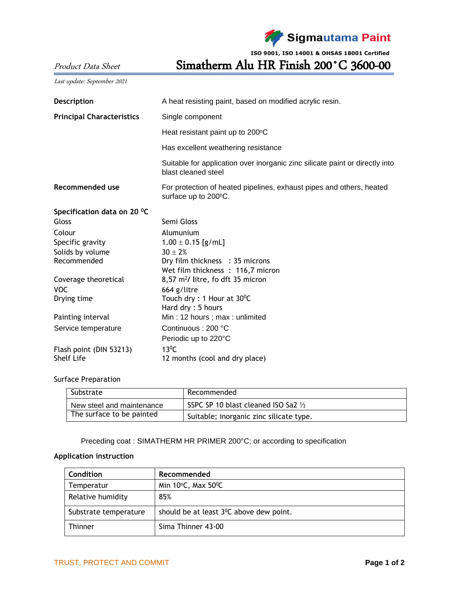

**ISO 9001, ISO 14001 & OHSAS 18001 Certified**

Product Data Sheet Simatherm Alu HR Finish 200˚C 3600-00

| Last update: September 2021      |                                                                                                     |  |  |
|----------------------------------|-----------------------------------------------------------------------------------------------------|--|--|
| Description                      | A heat resisting paint, based on modified acrylic resin.                                            |  |  |
| <b>Principal Characteristics</b> | Single component                                                                                    |  |  |
|                                  | Heat resistant paint up to 200°C                                                                    |  |  |
|                                  | Has excellent weathering resistance                                                                 |  |  |
|                                  | Suitable for application over inorganic zinc silicate paint or directly into<br>blast cleaned steel |  |  |
| Recommended use                  | For protection of heated pipelines, exhaust pipes and others, heated<br>surface up to 200°C.        |  |  |
| Specification data on 20 °C      |                                                                                                     |  |  |
| Gloss                            | Semi Gloss                                                                                          |  |  |
| Colour                           | Alumunium                                                                                           |  |  |
| Specific gravity                 | $1.00 \pm 0.15$ [g/mL]                                                                              |  |  |
| Solids by volume                 | $30 \pm 2%$                                                                                         |  |  |
| Recommended                      | Dry film thickness : 35 microns                                                                     |  |  |
|                                  | Wet film thickness : 116,7 micron                                                                   |  |  |
| Coverage theoretical             | $8,57$ m <sup>2</sup> / litre, fo dft 35 micron                                                     |  |  |
| <b>VOC</b><br>Drying time        | 664 g/litre<br>Touch dry: 1 Hour at 30°C                                                            |  |  |
|                                  | Hard dry: 5 hours                                                                                   |  |  |
| Painting interval                | Min: 12 hours; max: unlimited                                                                       |  |  |
| Service temperature              | Continuous: 200 °C                                                                                  |  |  |
|                                  | Periodic up to 220°C                                                                                |  |  |
| Flash point (DIN 53213)          | $13^{\circ}$ C                                                                                      |  |  |
| <b>Shelf Life</b>                | 12 months (cool and dry place)                                                                      |  |  |

Surface Preparation

| Substrate                 | Recommended                                    |  |
|---------------------------|------------------------------------------------|--|
| New steel and maintenance | SSPC SP 10 blast cleaned ISO Sa2 $\frac{1}{2}$ |  |
| The surface to be painted | Suitable; inorganic zinc silicate type.        |  |

Preceding coat : SIMATHERM HR PRIMER 200°C; or according to specification

## **Application instruction**

| Condition             | Recommended                                          |  |
|-----------------------|------------------------------------------------------|--|
| Temperatur            | Min $10^{\circ}$ C, Max $50^{\circ}$ C               |  |
| Relative humidity     | 85%                                                  |  |
| Substrate temperature | should be at least 3 <sup>0</sup> C above dew point. |  |
| Thinner               | Sima Thinner 43-00                                   |  |